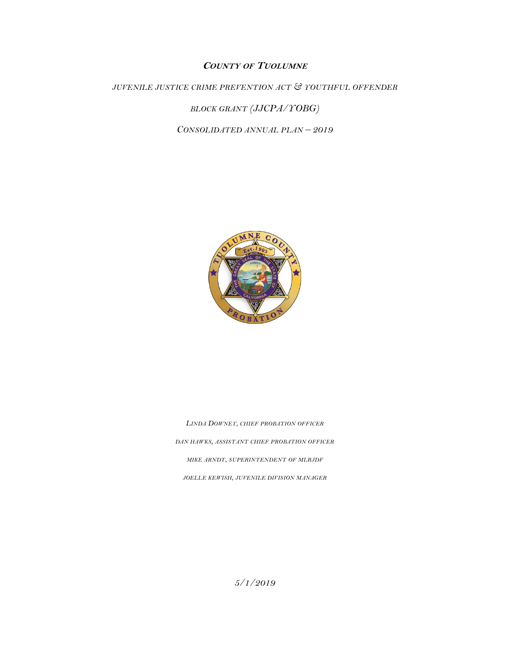# **COUNTY OF TUOLUMNE**

*JUVENILE JUSTICE CRIME PREVENTION ACT & YOUTHFUL OFFENDER* 

*BLOCK GRANT (JJCPA/YOBG)*

*CONSOLIDATED ANNUAL PLAN – 2019*



*LINDA DOWNEY, CHIEF PROBATION OFFICER DAN HAWKS, ASSISTANT CHIEF PROBATION OFFICER MIKE ARNDT, SUPERINTENDENT OF MLRJDF JOELLE KEWISH, JUVENILE DIVISION MANAGER*

*5/1/2019*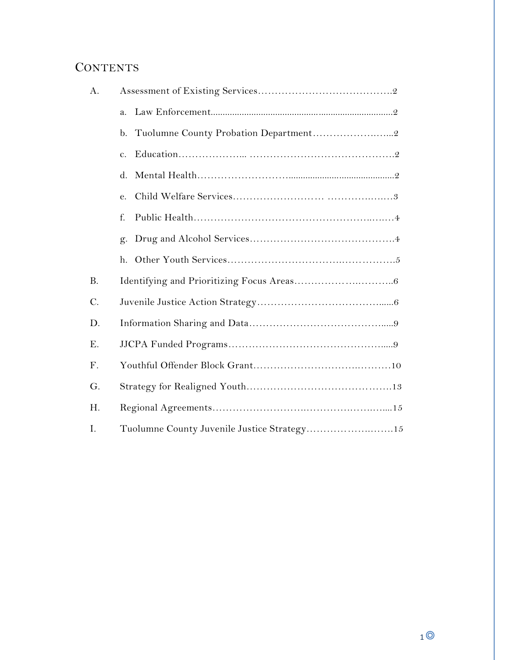# **CONTENTS**

| A.        |                                              |
|-----------|----------------------------------------------|
|           | a.                                           |
|           | b.                                           |
|           | $\mathbf{c}$ .                               |
|           | d.                                           |
|           | e.                                           |
|           | f.                                           |
|           | g.                                           |
|           | h.                                           |
| <b>B.</b> |                                              |
| $C$ .     |                                              |
| D.        |                                              |
| Ε.        |                                              |
| F.        |                                              |
| G.        |                                              |
| H.        |                                              |
| I.        | Tuolumne County Juvenile Justice Strategy 15 |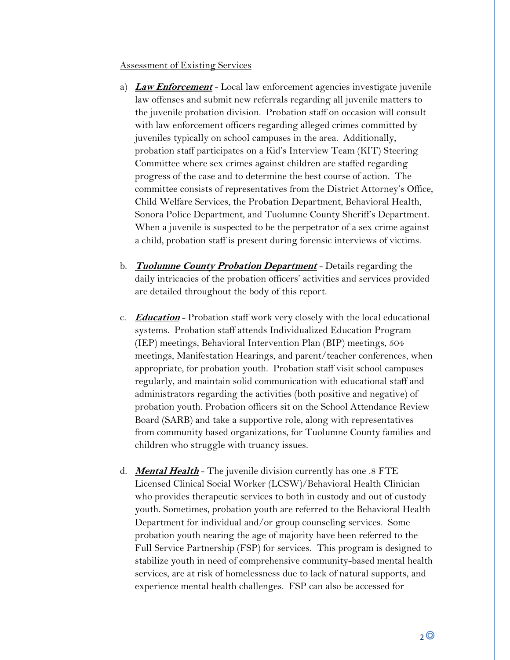## Assessment of Existing Services

- a) **Law Enforcement** Local law enforcement agencies investigate juvenile law offenses and submit new referrals regarding all juvenile matters to the juvenile probation division. Probation staff on occasion will consult with law enforcement officers regarding alleged crimes committed by juveniles typically on school campuses in the area. Additionally, probation staff participates on a Kid's Interview Team (KIT) Steering Committee where sex crimes against children are staffed regarding progress of the case and to determine the best course of action. The committee consists of representatives from the District Attorney's Office, Child Welfare Services, the Probation Department, Behavioral Health, Sonora Police Department, and Tuolumne County Sheriff's Department. When a juvenile is suspected to be the perpetrator of a sex crime against a child, probation staff is present during forensic interviews of victims.
- b. **Tuolumne County Probation Department** Details regarding the daily intricacies of the probation officers' activities and services provided are detailed throughout the body of this report.
- c. **Education** Probation staff work very closely with the local educational systems. Probation staff attends Individualized Education Program (IEP) meetings, Behavioral Intervention Plan (BIP) meetings, 504 meetings, Manifestation Hearings, and parent/teacher conferences, when appropriate, for probation youth. Probation staff visit school campuses regularly, and maintain solid communication with educational staff and administrators regarding the activities (both positive and negative) of probation youth. Probation officers sit on the School Attendance Review Board (SARB) and take a supportive role, along with representatives from community based organizations, for Tuolumne County families and children who struggle with truancy issues.
- d. **Mental Health** The juvenile division currently has one .8 FTE Licensed Clinical Social Worker (LCSW)/Behavioral Health Clinician who provides therapeutic services to both in custody and out of custody youth. Sometimes, probation youth are referred to the Behavioral Health Department for individual and/or group counseling services. Some probation youth nearing the age of majority have been referred to the Full Service Partnership (FSP) for services. This program is designed to stabilize youth in need of comprehensive community-based mental health services, are at risk of homelessness due to lack of natural supports, and experience mental health challenges. FSP can also be accessed for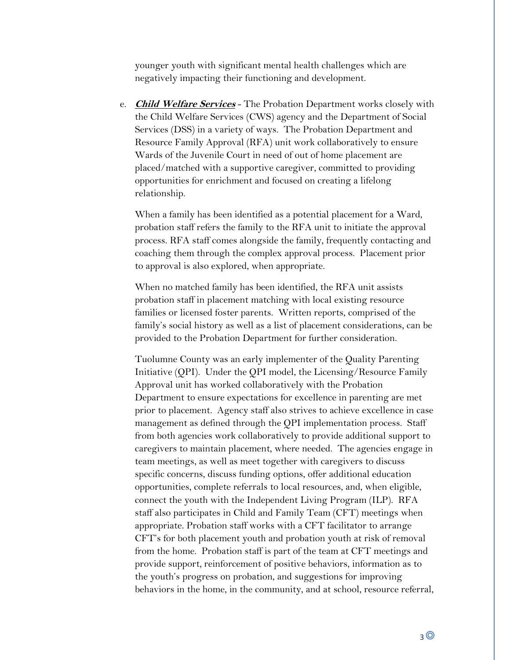younger youth with significant mental health challenges which are negatively impacting their functioning and development.

e. **Child Welfare Services** - The Probation Department works closely with the Child Welfare Services (CWS) agency and the Department of Social Services (DSS) in a variety of ways. The Probation Department and Resource Family Approval (RFA) unit work collaboratively to ensure Wards of the Juvenile Court in need of out of home placement are placed/matched with a supportive caregiver, committed to providing opportunities for enrichment and focused on creating a lifelong relationship.

When a family has been identified as a potential placement for a Ward, probation staff refers the family to the RFA unit to initiate the approval process. RFA staff comes alongside the family, frequently contacting and coaching them through the complex approval process. Placement prior to approval is also explored, when appropriate.

When no matched family has been identified, the RFA unit assists probation staff in placement matching with local existing resource families or licensed foster parents. Written reports, comprised of the family's social history as well as a list of placement considerations, can be provided to the Probation Department for further consideration.

Tuolumne County was an early implementer of the Quality Parenting Initiative (QPI). Under the QPI model, the Licensing/Resource Family Approval unit has worked collaboratively with the Probation Department to ensure expectations for excellence in parenting are met prior to placement. Agency staff also strives to achieve excellence in case management as defined through the QPI implementation process. Staff from both agencies work collaboratively to provide additional support to caregivers to maintain placement, where needed. The agencies engage in team meetings, as well as meet together with caregivers to discuss specific concerns, discuss funding options, offer additional education opportunities, complete referrals to local resources, and, when eligible, connect the youth with the Independent Living Program (ILP). RFA staff also participates in Child and Family Team (CFT) meetings when appropriate. Probation staff works with a CFT facilitator to arrange CFT's for both placement youth and probation youth at risk of removal from the home. Probation staff is part of the team at CFT meetings and provide support, reinforcement of positive behaviors, information as to the youth's progress on probation, and suggestions for improving behaviors in the home, in the community, and at school, resource referral,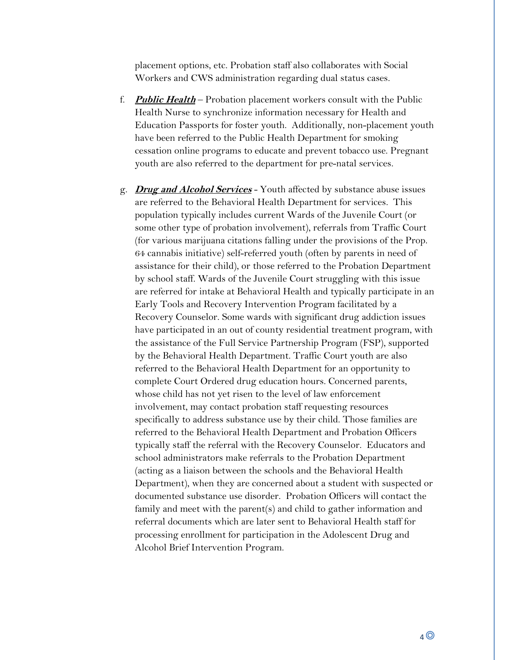placement options, etc. Probation staff also collaborates with Social Workers and CWS administration regarding dual status cases.

- f. **Public Health** Probation placement workers consult with the Public Health Nurse to synchronize information necessary for Health and Education Passports for foster youth. Additionally, non-placement youth have been referred to the Public Health Department for smoking cessation online programs to educate and prevent tobacco use. Pregnant youth are also referred to the department for pre-natal services.
- g. **Drug and Alcohol Services** Youth affected by substance abuse issues are referred to the Behavioral Health Department for services. This population typically includes current Wards of the Juvenile Court (or some other type of probation involvement), referrals from Traffic Court (for various marijuana citations falling under the provisions of the Prop. 64 cannabis initiative) self-referred youth (often by parents in need of assistance for their child), or those referred to the Probation Department by school staff. Wards of the Juvenile Court struggling with this issue are referred for intake at Behavioral Health and typically participate in an Early Tools and Recovery Intervention Program facilitated by a Recovery Counselor. Some wards with significant drug addiction issues have participated in an out of county residential treatment program, with the assistance of the Full Service Partnership Program (FSP), supported by the Behavioral Health Department. Traffic Court youth are also referred to the Behavioral Health Department for an opportunity to complete Court Ordered drug education hours. Concerned parents, whose child has not yet risen to the level of law enforcement involvement, may contact probation staff requesting resources specifically to address substance use by their child. Those families are referred to the Behavioral Health Department and Probation Officers typically staff the referral with the Recovery Counselor. Educators and school administrators make referrals to the Probation Department (acting as a liaison between the schools and the Behavioral Health Department), when they are concerned about a student with suspected or documented substance use disorder. Probation Officers will contact the family and meet with the parent(s) and child to gather information and referral documents which are later sent to Behavioral Health staff for processing enrollment for participation in the Adolescent Drug and Alcohol Brief Intervention Program.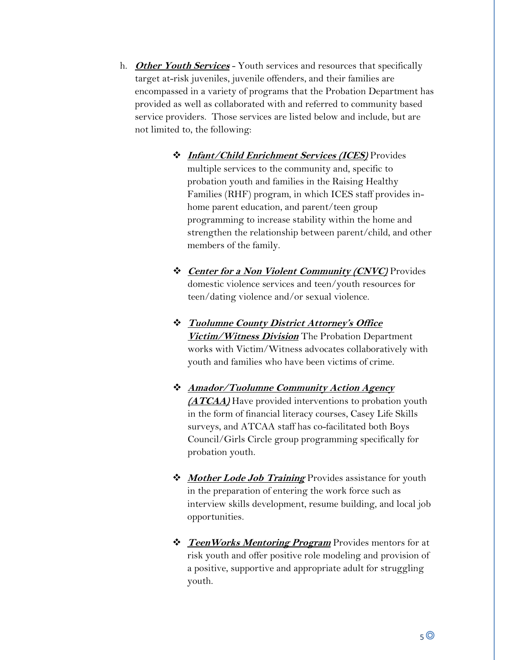- h. **Other Youth Services** Youth services and resources that specifically target at-risk juveniles, juvenile offenders, and their families are encompassed in a variety of programs that the Probation Department has provided as well as collaborated with and referred to community based service providers. Those services are listed below and include, but are not limited to, the following:
	- ❖ **Infant/Child Enrichment Services (ICES)** Provides multiple services to the community and, specific to probation youth and families in the Raising Healthy Families (RHF) program, in which ICES staff provides inhome parent education, and parent/teen group programming to increase stability within the home and strengthen the relationship between parent/child, and other members of the family.
	- ❖ **Center for a Non Violent Community (CNVC)** Provides domestic violence services and teen/youth resources for teen/dating violence and/or sexual violence.
	- ❖ **Tuolumne County District Attorney's Office Victim/Witness Division** The Probation Department works with Victim/Witness advocates collaboratively with youth and families who have been victims of crime.
	- ❖ **Amador/Tuolumne Community Action Agency (ATCAA)** Have provided interventions to probation youth in the form of financial literacy courses, Casey Life Skills surveys, and ATCAA staff has co-facilitated both Boys Council/Girls Circle group programming specifically for probation youth.
	- ❖ **Mother Lode Job Training** Provides assistance for youth in the preparation of entering the work force such as interview skills development, resume building, and local job opportunities.
	- ❖ **TeenWorks Mentoring Program** Provides mentors for at risk youth and offer positive role modeling and provision of a positive, supportive and appropriate adult for struggling youth.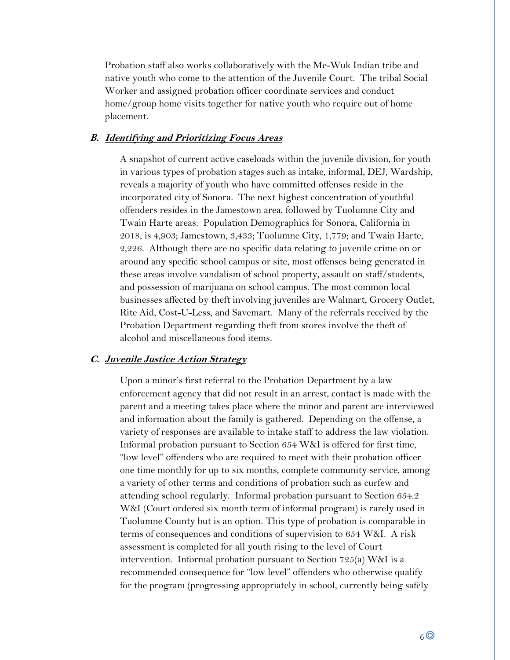Probation staff also works collaboratively with the Me-Wuk Indian tribe and native youth who come to the attention of the Juvenile Court. The tribal Social Worker and assigned probation officer coordinate services and conduct home/group home visits together for native youth who require out of home placement.

#### **B. Identifying and Prioritizing Focus Areas**

A snapshot of current active caseloads within the juvenile division, for youth in various types of probation stages such as intake, informal, DEJ, Wardship, reveals a majority of youth who have committed offenses reside in the incorporated city of Sonora. The next highest concentration of youthful offenders resides in the Jamestown area, followed by Tuolumne City and Twain Harte areas. Population Demographics for Sonora, California in 2018, is 4,903; Jamestown, 3,433; Tuolumne City, 1,779; and Twain Harte, 2,226. Although there are no specific data relating to juvenile crime on or around any specific school campus or site, most offenses being generated in these areas involve vandalism of school property, assault on staff/students, and possession of marijuana on school campus. The most common local businesses affected by theft involving juveniles are Walmart, Grocery Outlet, Rite Aid, Cost-U-Less, and Savemart. Many of the referrals received by the Probation Department regarding theft from stores involve the theft of alcohol and miscellaneous food items.

#### **C. Juvenile Justice Action Strategy**

Upon a minor's first referral to the Probation Department by a law enforcement agency that did not result in an arrest, contact is made with the parent and a meeting takes place where the minor and parent are interviewed and information about the family is gathered. Depending on the offense, a variety of responses are available to intake staff to address the law violation. Informal probation pursuant to Section 654 W&I is offered for first time, "low level" offenders who are required to meet with their probation officer one time monthly for up to six months, complete community service, among a variety of other terms and conditions of probation such as curfew and attending school regularly. Informal probation pursuant to Section 654.2 W&I (Court ordered six month term of informal program) is rarely used in Tuolumne County but is an option. This type of probation is comparable in terms of consequences and conditions of supervision to 654 W&I. A risk assessment is completed for all youth rising to the level of Court intervention. Informal probation pursuant to Section 725(a) W&I is a recommended consequence for "low level" offenders who otherwise qualify for the program (progressing appropriately in school, currently being safely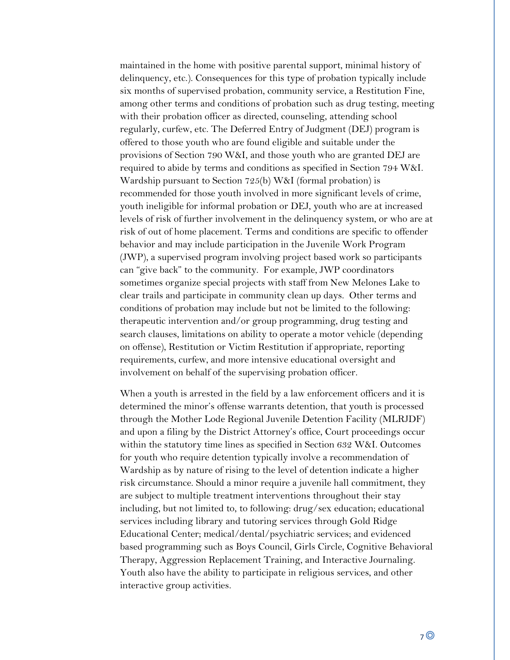maintained in the home with positive parental support, minimal history of delinquency, etc.). Consequences for this type of probation typically include six months of supervised probation, community service, a Restitution Fine, among other terms and conditions of probation such as drug testing, meeting with their probation officer as directed, counseling, attending school regularly, curfew, etc. The Deferred Entry of Judgment (DEJ) program is offered to those youth who are found eligible and suitable under the provisions of Section 790 W&I, and those youth who are granted DEJ are required to abide by terms and conditions as specified in Section 794 W&I. Wardship pursuant to Section 725(b) W&I (formal probation) is recommended for those youth involved in more significant levels of crime, youth ineligible for informal probation or DEJ, youth who are at increased levels of risk of further involvement in the delinquency system, or who are at risk of out of home placement. Terms and conditions are specific to offender behavior and may include participation in the Juvenile Work Program (JWP), a supervised program involving project based work so participants can "give back" to the community. For example, JWP coordinators sometimes organize special projects with staff from New Melones Lake to clear trails and participate in community clean up days. Other terms and conditions of probation may include but not be limited to the following: therapeutic intervention and/or group programming, drug testing and search clauses, limitations on ability to operate a motor vehicle (depending on offense), Restitution or Victim Restitution if appropriate, reporting requirements, curfew, and more intensive educational oversight and involvement on behalf of the supervising probation officer.

When a youth is arrested in the field by a law enforcement officers and it is determined the minor's offense warrants detention, that youth is processed through the Mother Lode Regional Juvenile Detention Facility (MLRJDF) and upon a filing by the District Attorney's office, Court proceedings occur within the statutory time lines as specified in Section 632 W&I. Outcomes for youth who require detention typically involve a recommendation of Wardship as by nature of rising to the level of detention indicate a higher risk circumstance. Should a minor require a juvenile hall commitment, they are subject to multiple treatment interventions throughout their stay including, but not limited to, to following: drug/sex education; educational services including library and tutoring services through Gold Ridge Educational Center; medical/dental/psychiatric services; and evidenced based programming such as Boys Council, Girls Circle, Cognitive Behavioral Therapy, Aggression Replacement Training, and Interactive Journaling. Youth also have the ability to participate in religious services, and other interactive group activities.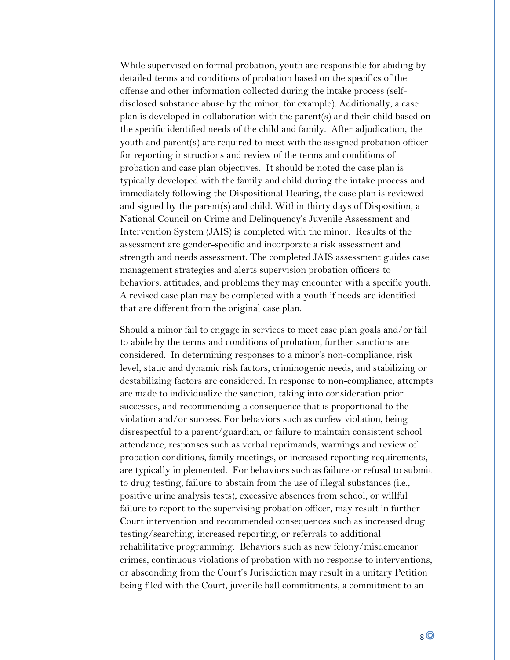While supervised on formal probation, youth are responsible for abiding by detailed terms and conditions of probation based on the specifics of the offense and other information collected during the intake process (selfdisclosed substance abuse by the minor, for example). Additionally, a case plan is developed in collaboration with the parent(s) and their child based on the specific identified needs of the child and family. After adjudication, the youth and parent(s) are required to meet with the assigned probation officer for reporting instructions and review of the terms and conditions of probation and case plan objectives. It should be noted the case plan is typically developed with the family and child during the intake process and immediately following the Dispositional Hearing, the case plan is reviewed and signed by the parent(s) and child. Within thirty days of Disposition, a National Council on Crime and Delinquency's Juvenile Assessment and Intervention System (JAIS) is completed with the minor. Results of the assessment are gender-specific and incorporate a risk assessment and strength and needs assessment. The completed JAIS assessment guides case management strategies and alerts supervision probation officers to behaviors, attitudes, and problems they may encounter with a specific youth. A revised case plan may be completed with a youth if needs are identified that are different from the original case plan.

Should a minor fail to engage in services to meet case plan goals and/or fail to abide by the terms and conditions of probation, further sanctions are considered. In determining responses to a minor's non-compliance, risk level, static and dynamic risk factors, criminogenic needs, and stabilizing or destabilizing factors are considered. In response to non-compliance, attempts are made to individualize the sanction, taking into consideration prior successes, and recommending a consequence that is proportional to the violation and/or success. For behaviors such as curfew violation, being disrespectful to a parent/guardian, or failure to maintain consistent school attendance, responses such as verbal reprimands, warnings and review of probation conditions, family meetings, or increased reporting requirements, are typically implemented. For behaviors such as failure or refusal to submit to drug testing, failure to abstain from the use of illegal substances (i.e., positive urine analysis tests), excessive absences from school, or willful failure to report to the supervising probation officer, may result in further Court intervention and recommended consequences such as increased drug testing/searching, increased reporting, or referrals to additional rehabilitative programming. Behaviors such as new felony/misdemeanor crimes, continuous violations of probation with no response to interventions, or absconding from the Court's Jurisdiction may result in a unitary Petition being filed with the Court, juvenile hall commitments, a commitment to an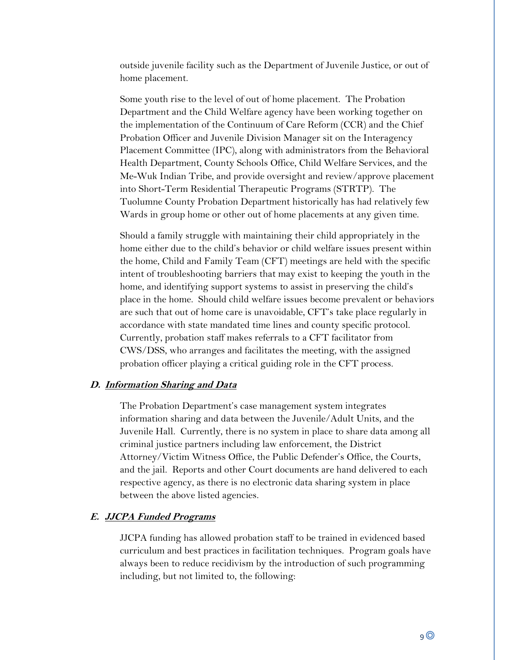outside juvenile facility such as the Department of Juvenile Justice, or out of home placement.

Some youth rise to the level of out of home placement. The Probation Department and the Child Welfare agency have been working together on the implementation of the Continuum of Care Reform (CCR) and the Chief Probation Officer and Juvenile Division Manager sit on the Interagency Placement Committee (IPC), along with administrators from the Behavioral Health Department, County Schools Office, Child Welfare Services, and the Me-Wuk Indian Tribe, and provide oversight and review/approve placement into Short-Term Residential Therapeutic Programs (STRTP). The Tuolumne County Probation Department historically has had relatively few Wards in group home or other out of home placements at any given time.

Should a family struggle with maintaining their child appropriately in the home either due to the child's behavior or child welfare issues present within the home, Child and Family Team (CFT) meetings are held with the specific intent of troubleshooting barriers that may exist to keeping the youth in the home, and identifying support systems to assist in preserving the child's place in the home. Should child welfare issues become prevalent or behaviors are such that out of home care is unavoidable, CFT's take place regularly in accordance with state mandated time lines and county specific protocol. Currently, probation staff makes referrals to a CFT facilitator from CWS/DSS, who arranges and facilitates the meeting, with the assigned probation officer playing a critical guiding role in the CFT process.

# **D. Information Sharing and Data**

The Probation Department's case management system integrates information sharing and data between the Juvenile/Adult Units, and the Juvenile Hall. Currently, there is no system in place to share data among all criminal justice partners including law enforcement, the District Attorney/Victim Witness Office, the Public Defender's Office, the Courts, and the jail. Reports and other Court documents are hand delivered to each respective agency, as there is no electronic data sharing system in place between the above listed agencies.

### **E. JJCPA Funded Programs**

JJCPA funding has allowed probation staff to be trained in evidenced based curriculum and best practices in facilitation techniques. Program goals have always been to reduce recidivism by the introduction of such programming including, but not limited to, the following: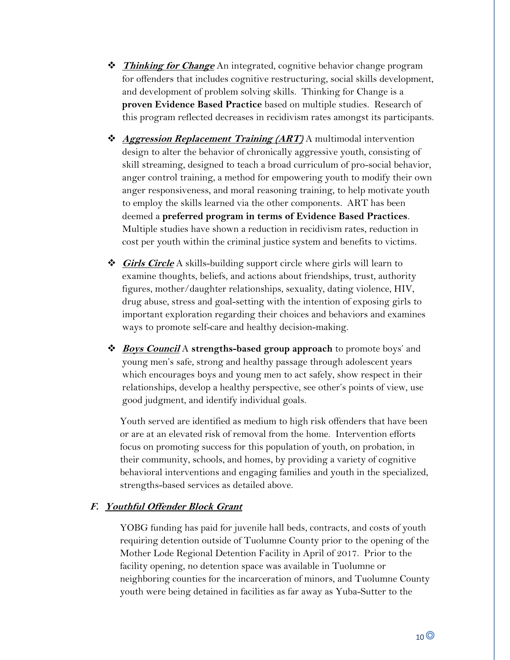- ❖ **Thinking for Change** An integrated, cognitive behavior change program for offenders that includes cognitive restructuring, social skills development, and development of problem solving skills. Thinking for Change is a **proven Evidence Based Practice** based on multiple studies. Research of this program reflected decreases in recidivism rates amongst its participants.
- ❖ **Aggression Replacement Training (ART)** A multimodal intervention design to alter the behavior of chronically aggressive youth, consisting of skill streaming, designed to teach a broad curriculum of pro-social behavior, anger control training, a method for empowering youth to modify their own anger responsiveness, and moral reasoning training, to help motivate youth to employ the skills learned via the other components. ART has been deemed a **preferred program in terms of Evidence Based Practices**. Multiple studies have shown a reduction in recidivism rates, reduction in cost per youth within the criminal justice system and benefits to victims.
- ❖ **Girls Circle** A skills-building support circle where girls will learn to examine thoughts, beliefs, and actions about friendships, trust, authority figures, mother/daughter relationships, sexuality, dating violence, HIV, drug abuse, stress and goal-setting with the intention of exposing girls to important exploration regarding their choices and behaviors and examines ways to promote self-care and healthy decision-making.
- ❖ **Boys Council** A **strengths-based group approach** to promote boys' and young men's safe, strong and healthy passage through adolescent years which encourages boys and young men to act safely, show respect in their relationships, develop a healthy perspective, see other's points of view, use good judgment, and identify individual goals.

Youth served are identified as medium to high risk offenders that have been or are at an elevated risk of removal from the home. Intervention efforts focus on promoting success for this population of youth, on probation, in their community, schools, and homes, by providing a variety of cognitive behavioral interventions and engaging families and youth in the specialized, strengths-based services as detailed above.

# **F. Youthful Offender Block Grant**

YOBG funding has paid for juvenile hall beds, contracts, and costs of youth requiring detention outside of Tuolumne County prior to the opening of the Mother Lode Regional Detention Facility in April of 2017. Prior to the facility opening, no detention space was available in Tuolumne or neighboring counties for the incarceration of minors, and Tuolumne County youth were being detained in facilities as far away as Yuba-Sutter to the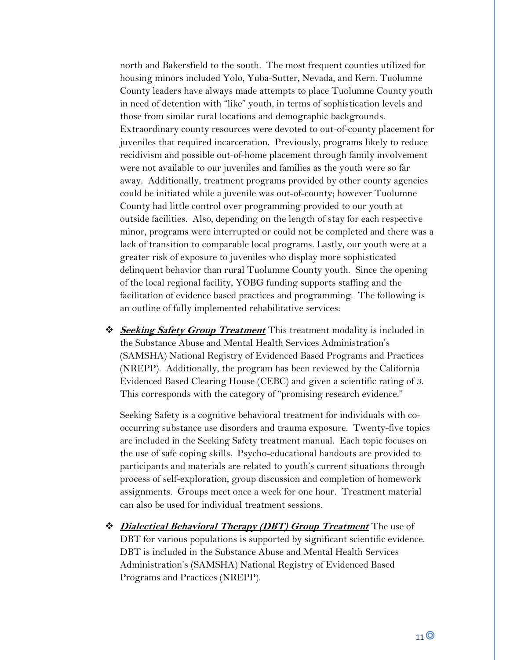north and Bakersfield to the south. The most frequent counties utilized for housing minors included Yolo, Yuba-Sutter, Nevada, and Kern. Tuolumne County leaders have always made attempts to place Tuolumne County youth in need of detention with "like" youth, in terms of sophistication levels and those from similar rural locations and demographic backgrounds. Extraordinary county resources were devoted to out-of-county placement for juveniles that required incarceration. Previously, programs likely to reduce recidivism and possible out-of-home placement through family involvement were not available to our juveniles and families as the youth were so far away. Additionally, treatment programs provided by other county agencies could be initiated while a juvenile was out-of-county; however Tuolumne County had little control over programming provided to our youth at outside facilities. Also, depending on the length of stay for each respective minor, programs were interrupted or could not be completed and there was a lack of transition to comparable local programs. Lastly, our youth were at a greater risk of exposure to juveniles who display more sophisticated delinquent behavior than rural Tuolumne County youth. Since the opening of the local regional facility, YOBG funding supports staffing and the facilitation of evidence based practices and programming. The following is an outline of fully implemented rehabilitative services:

❖ **Seeking Safety Group Treatment** This treatment modality is included in the Substance Abuse and Mental Health Services Administration's (SAMSHA) National Registry of Evidenced Based Programs and Practices (NREPP). Additionally, the program has been reviewed by the California Evidenced Based Clearing House (CEBC) and given a scientific rating of 3. This corresponds with the category of "promising research evidence."

Seeking Safety is a cognitive behavioral treatment for individuals with cooccurring substance use disorders and trauma exposure. Twenty-five topics are included in the Seeking Safety treatment manual. Each topic focuses on the use of safe coping skills. Psycho-educational handouts are provided to participants and materials are related to youth's current situations through process of self-exploration, group discussion and completion of homework assignments. Groups meet once a week for one hour. Treatment material can also be used for individual treatment sessions.

❖ **Dialectical Behavioral Therapy (DBT) Group Treatment** The use of DBT for various populations is supported by significant scientific evidence. DBT is included in the Substance Abuse and Mental Health Services Administration's (SAMSHA) National Registry of Evidenced Based Programs and Practices (NREPP).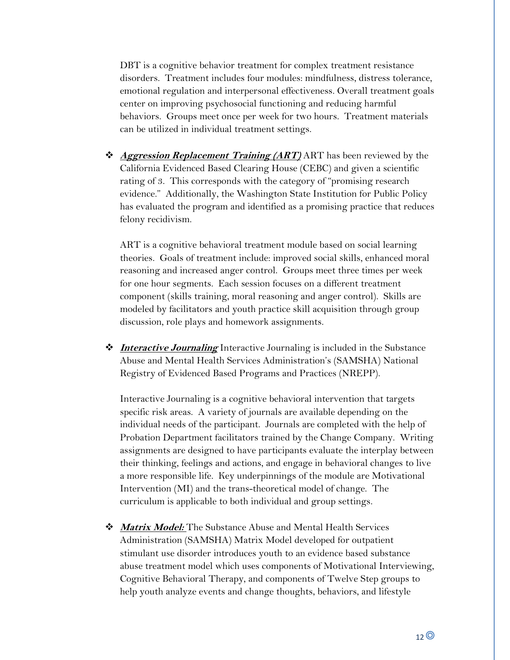DBT is a cognitive behavior treatment for complex treatment resistance disorders. Treatment includes four modules: mindfulness, distress tolerance, emotional regulation and interpersonal effectiveness. Overall treatment goals center on improving psychosocial functioning and reducing harmful behaviors. Groups meet once per week for two hours. Treatment materials can be utilized in individual treatment settings.

❖ **Aggression Replacement Training (ART)** ART has been reviewed by the California Evidenced Based Clearing House (CEBC) and given a scientific rating of 3. This corresponds with the category of "promising research evidence." Additionally, the Washington State Institution for Public Policy has evaluated the program and identified as a promising practice that reduces felony recidivism.

ART is a cognitive behavioral treatment module based on social learning theories. Goals of treatment include: improved social skills, enhanced moral reasoning and increased anger control. Groups meet three times per week for one hour segments. Each session focuses on a different treatment component (skills training, moral reasoning and anger control). Skills are modeled by facilitators and youth practice skill acquisition through group discussion, role plays and homework assignments.

❖ **Interactive Journaling** Interactive Journaling is included in the Substance Abuse and Mental Health Services Administration's (SAMSHA) National Registry of Evidenced Based Programs and Practices (NREPP).

Interactive Journaling is a cognitive behavioral intervention that targets specific risk areas. A variety of journals are available depending on the individual needs of the participant. Journals are completed with the help of Probation Department facilitators trained by the Change Company. Writing assignments are designed to have participants evaluate the interplay between their thinking, feelings and actions, and engage in behavioral changes to live a more responsible life. Key underpinnings of the module are Motivational Intervention (MI) and the trans-theoretical model of change. The curriculum is applicable to both individual and group settings.

❖ **Matrix Model:** The Substance Abuse and Mental Health Services Administration (SAMSHA) Matrix Model developed for outpatient stimulant use disorder introduces youth to an evidence based substance abuse treatment model which uses components of Motivational Interviewing, Cognitive Behavioral Therapy, and components of Twelve Step groups to help youth analyze events and change thoughts, behaviors, and lifestyle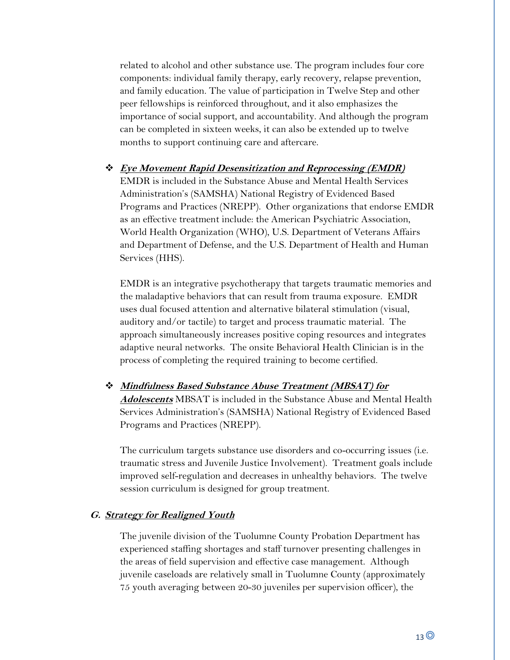related to alcohol and other substance use. The program includes four core components: individual family therapy, early recovery, relapse prevention, and family education. The value of participation in Twelve Step and other peer fellowships is reinforced throughout, and it also emphasizes the importance of social support, and accountability. And although the program can be completed in sixteen weeks, it can also be extended up to twelve months to support continuing care and aftercare.

❖ **Eye Movement Rapid Desensitization and Reprocessing (EMDR)** EMDR is included in the Substance Abuse and Mental Health Services Administration's (SAMSHA) National Registry of Evidenced Based Programs and Practices (NREPP). Other organizations that endorse EMDR as an effective treatment include: the American Psychiatric Association, World Health Organization (WHO), U.S. Department of Veterans Affairs and Department of Defense, and the U.S. Department of Health and Human Services (HHS).

EMDR is an integrative psychotherapy that targets traumatic memories and the maladaptive behaviors that can result from trauma exposure. EMDR uses dual focused attention and alternative bilateral stimulation (visual, auditory and/or tactile) to target and process traumatic material. The approach simultaneously increases positive coping resources and integrates adaptive neural networks. The onsite Behavioral Health Clinician is in the process of completing the required training to become certified.

❖ **Mindfulness Based Substance Abuse Treatment (MBSAT) for Adolescents** MBSAT is included in the Substance Abuse and Mental Health Services Administration's (SAMSHA) National Registry of Evidenced Based Programs and Practices (NREPP).

The curriculum targets substance use disorders and co-occurring issues (i.e. traumatic stress and Juvenile Justice Involvement). Treatment goals include improved self-regulation and decreases in unhealthy behaviors. The twelve session curriculum is designed for group treatment.

### **G. Strategy for Realigned Youth**

The juvenile division of the Tuolumne County Probation Department has experienced staffing shortages and staff turnover presenting challenges in the areas of field supervision and effective case management. Although juvenile caseloads are relatively small in Tuolumne County (approximately 75 youth averaging between 20-30 juveniles per supervision officer), the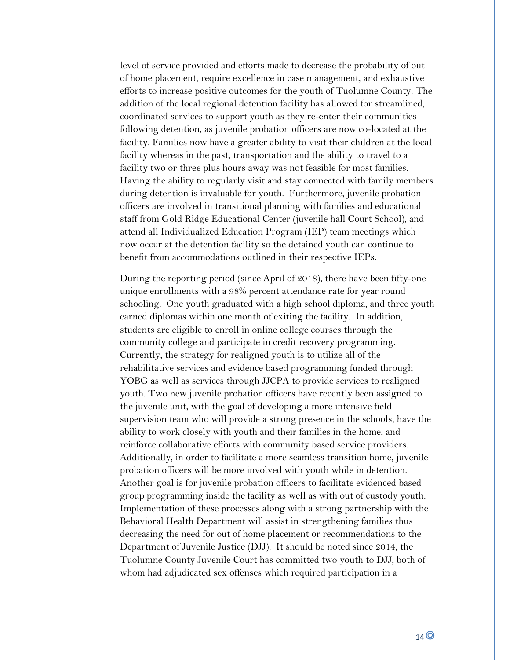level of service provided and efforts made to decrease the probability of out of home placement, require excellence in case management, and exhaustive efforts to increase positive outcomes for the youth of Tuolumne County. The addition of the local regional detention facility has allowed for streamlined, coordinated services to support youth as they re-enter their communities following detention, as juvenile probation officers are now co-located at the facility. Families now have a greater ability to visit their children at the local facility whereas in the past, transportation and the ability to travel to a facility two or three plus hours away was not feasible for most families. Having the ability to regularly visit and stay connected with family members during detention is invaluable for youth. Furthermore, juvenile probation officers are involved in transitional planning with families and educational staff from Gold Ridge Educational Center (juvenile hall Court School), and attend all Individualized Education Program (IEP) team meetings which now occur at the detention facility so the detained youth can continue to benefit from accommodations outlined in their respective IEPs.

During the reporting period (since April of 2018), there have been fifty-one unique enrollments with a 98% percent attendance rate for year round schooling. One youth graduated with a high school diploma, and three youth earned diplomas within one month of exiting the facility. In addition, students are eligible to enroll in online college courses through the community college and participate in credit recovery programming. Currently, the strategy for realigned youth is to utilize all of the rehabilitative services and evidence based programming funded through YOBG as well as services through JJCPA to provide services to realigned youth. Two new juvenile probation officers have recently been assigned to the juvenile unit, with the goal of developing a more intensive field supervision team who will provide a strong presence in the schools, have the ability to work closely with youth and their families in the home, and reinforce collaborative efforts with community based service providers. Additionally, in order to facilitate a more seamless transition home, juvenile probation officers will be more involved with youth while in detention. Another goal is for juvenile probation officers to facilitate evidenced based group programming inside the facility as well as with out of custody youth. Implementation of these processes along with a strong partnership with the Behavioral Health Department will assist in strengthening families thus decreasing the need for out of home placement or recommendations to the Department of Juvenile Justice (DJJ). It should be noted since 2014, the Tuolumne County Juvenile Court has committed two youth to DJJ, both of whom had adjudicated sex offenses which required participation in a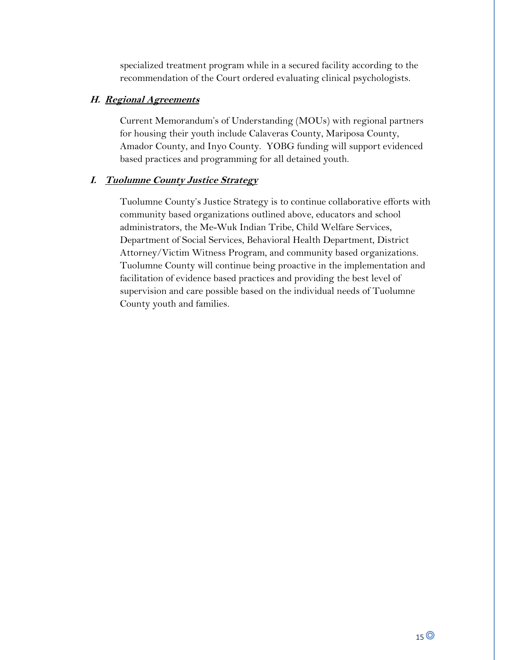specialized treatment program while in a secured facility according to the recommendation of the Court ordered evaluating clinical psychologists.

# **H. Regional Agreements**

Current Memorandum's of Understanding (MOUs) with regional partners for housing their youth include Calaveras County, Mariposa County, Amador County, and Inyo County. YOBG funding will support evidenced based practices and programming for all detained youth.

# **I. Tuolumne County Justice Strategy**

Tuolumne County's Justice Strategy is to continue collaborative efforts with community based organizations outlined above, educators and school administrators, the Me-Wuk Indian Tribe, Child Welfare Services, Department of Social Services, Behavioral Health Department, District Attorney/Victim Witness Program, and community based organizations. Tuolumne County will continue being proactive in the implementation and facilitation of evidence based practices and providing the best level of supervision and care possible based on the individual needs of Tuolumne County youth and families.